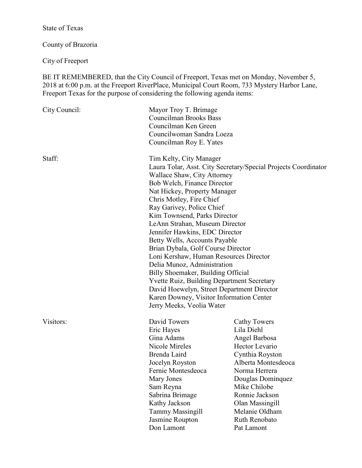# State of Texas

County of Brazoria

City of Freeport

BE IT REMEMBERED, that the City Council of Freeport, Texas met on Monday, November 5, 2018 at 6:00 p.m. at the Freeport RiverPlace, Municipal Court Room, 733 Mystery Harbor Lane, Freeport Texas for the purpose of considering the following agenda items:

| City Council: | Mayor Troy T. Brimage<br><b>Councilman Brooks Bass</b><br>Councilman Ken Green<br>Councilwoman Sandra Loeza<br>Councilman Roy E. Yates                                                                                                                                                                                                                                                                                                                                                                                                                                                                                                                                                                                 |                                                                                                                                                                                                                                                            |
|---------------|------------------------------------------------------------------------------------------------------------------------------------------------------------------------------------------------------------------------------------------------------------------------------------------------------------------------------------------------------------------------------------------------------------------------------------------------------------------------------------------------------------------------------------------------------------------------------------------------------------------------------------------------------------------------------------------------------------------------|------------------------------------------------------------------------------------------------------------------------------------------------------------------------------------------------------------------------------------------------------------|
| Staff:        | Tim Kelty, City Manager<br>Laura Tolar, Asst. City Secretary/Special Projects Coordinator<br>Wallace Shaw, City Attorney<br>Bob Welch, Finance Director<br>Nat Hickey, Property Manager<br>Chris Motley, Fire Chief<br>Ray Garivey, Police Chief<br>Kim Townsend, Parks Director<br>LeAnn Strahan, Museum Director<br>Jennifer Hawkins, EDC Director<br>Betty Wells, Accounts Payable<br>Brian Dybala, Golf Course Director<br>Loni Kershaw, Human Resources Director<br>Delia Munoz, Administration<br>Billy Shoemaker, Building Official<br><b>Yvette Ruiz, Building Department Secretary</b><br>David Hoewelyn, Street Department Director<br>Karen Downey, Visitor Information Center<br>Jerry Meeks, Veolia Water |                                                                                                                                                                                                                                                            |
| Visitors:     | David Towers<br>Eric Hayes<br>Gina Adams<br>Nicole Mireles<br>Brenda Laird<br>Jocelyn Royston<br>Fernie Montesdeoca<br>Mary Jones<br>Sam Reyna<br>Sabrina Brimage<br>Kathy Jackson<br><b>Tammy Massingill</b><br>Jasmine Roupton<br>Don Lamont                                                                                                                                                                                                                                                                                                                                                                                                                                                                         | <b>Cathy Towers</b><br>Lila Diehl<br>Angel Barbosa<br>Hector Levario<br>Cynthia Royston<br>Alberta Montesdeoca<br>Norma Herrera<br>Douglas Dominquez<br>Mike Chilobe<br>Ronnie Jackson<br>Olan Massingill<br>Melanie Oldham<br>Ruth Renobato<br>Pat Lamont |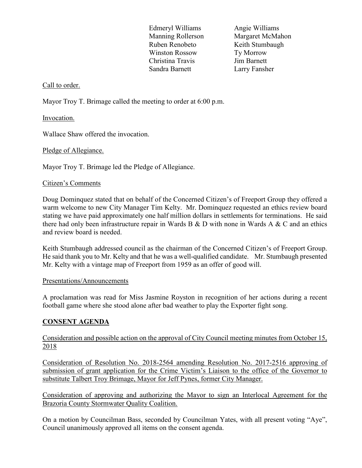Edmeryl Williams Angie Williams Ruben Renobeto Keith Stumbaugh Winston Rossow Tv Morrow Christina Travis Jim Barnett Sandra Barnett Larry Fansher

Manning Rollerson Margaret McMahon

### Call to order.

Mayor Troy T. Brimage called the meeting to order at 6:00 p.m.

Invocation.

Wallace Shaw offered the invocation.

Pledge of Allegiance.

Mayor Troy T. Brimage led the Pledge of Allegiance.

### Citizen's Comments

Doug Dominquez stated that on behalf of the Concerned Citizen's of Freeport Group they offered a warm welcome to new City Manager Tim Kelty. Mr. Dominquez requested an ethics review board stating we have paid approximately one half million dollars in settlements for terminations. He said there had only been infrastructure repair in Wards B  $\&$  D with none in Wards A  $\&$  C and an ethics and review board is needed.

Keith Stumbaugh addressed council as the chairman of the Concerned Citizen's of Freeport Group. He said thank you to Mr. Kelty and that he was a well-qualified candidate. Mr. Stumbaugh presented Mr. Kelty with a vintage map of Freeport from 1959 as an offer of good will.

### Presentations/Announcements

A proclamation was read for Miss Jasmine Royston in recognition of her actions during a recent football game where she stood alone after bad weather to play the Exporter fight song.

## **CONSENT AGENDA**

Consideration and possible action on the approval of City Council meeting minutes from October 15, 2018

Consideration of Resolution No. 2018-2564 amending Resolution No. 2017-2516 approving of submission of grant application for the Crime Victim's Liaison to the office of the Governor to substitute Talbert Troy Brimage, Mayor for Jeff Pynes, former City Manager.

Consideration of approving and authorizing the Mayor to sign an Interlocal Agreement for the Brazoria County Stormwater Quality Coalition.

On a motion by Councilman Bass, seconded by Councilman Yates, with all present voting "Aye", Council unanimously approved all items on the consent agenda.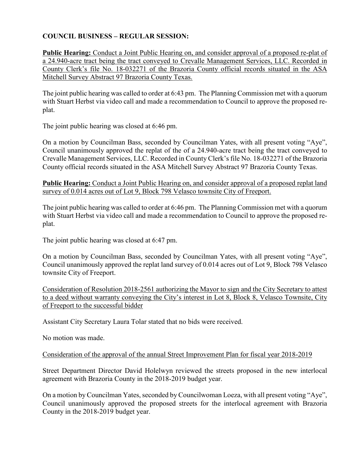## **COUNCIL BUSINESS – REGULAR SESSION:**

**Public Hearing:** Conduct a Joint Public Hearing on, and consider approval of a proposed re-plat of a 24.940-acre tract being the tract conveyed to Crevalle Management Services, LLC. Recorded in County Clerk's file No. 18-032271 of the Brazoria County official records situated in the ASA Mitchell Survey Abstract 97 Brazoria County Texas.

The joint public hearing was called to order at 6:43 pm. The Planning Commission met with a quorum with Stuart Herbst via video call and made a recommendation to Council to approve the proposed replat.

The joint public hearing was closed at 6:46 pm.

On a motion by Councilman Bass, seconded by Councilman Yates, with all present voting "Aye", Council unanimously approved the replat of the of a 24.940-acre tract being the tract conveyed to Crevalle Management Services, LLC. Recorded in County Clerk's file No. 18-032271 of the Brazoria County official records situated in the ASA Mitchell Survey Abstract 97 Brazoria County Texas.

**Public Hearing:** Conduct a Joint Public Hearing on, and consider approval of a proposed replat land survey of 0.014 acres out of Lot 9, Block 798 Velasco townsite City of Freeport.

The joint public hearing was called to order at 6:46 pm. The Planning Commission met with a quorum with Stuart Herbst via video call and made a recommendation to Council to approve the proposed replat.

The joint public hearing was closed at 6:47 pm.

On a motion by Councilman Bass, seconded by Councilman Yates, with all present voting "Aye", Council unanimously approved the replat land survey of 0.014 acres out of Lot 9, Block 798 Velasco townsite City of Freeport.

Consideration of Resolution 2018-2561 authorizing the Mayor to sign and the City Secretary to attest to a deed without warranty conveying the City's interest in Lot 8, Block 8, Velasco Townsite, City of Freeport to the successful bidder

Assistant City Secretary Laura Tolar stated that no bids were received.

No motion was made.

Consideration of the approval of the annual Street Improvement Plan for fiscal year 2018-2019

Street Department Director David Holelwyn reviewed the streets proposed in the new interlocal agreement with Brazoria County in the 2018-2019 budget year.

On a motion by Councilman Yates, seconded by Councilwoman Loeza, with all present voting "Aye", Council unanimously approved the proposed streets for the interlocal agreement with Brazoria County in the 2018-2019 budget year.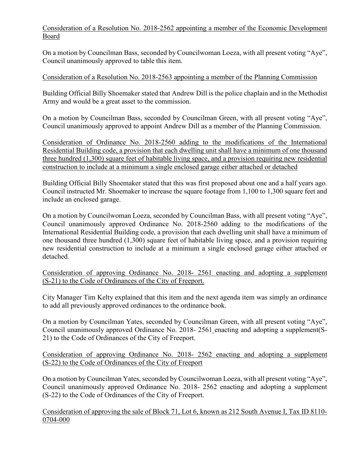Consideration of a Resolution No. 2018-2562 appointing a member of the Economic Development Board

On a motion by Councilman Bass, seconded by Councilwoman Loeza, with all present voting "Aye", Council unanimously approved to table this item.

## Consideration of a Resolution No. 2018-2563 appointing a member of the Planning Commission

Building Official Billy Shoemaker stated that Andrew Dill is the police chaplain and in the Methodist Army and would be a great asset to the commission.

On a motion by Councilman Bass, seconded by Councilman Green, with all present voting "Aye", Council unanimously approved to appoint Andrew Dill as a member of the Planning Commission.

Consideration of Ordinance No. 2018-2560 adding to the modifications of the International Residential Building code, a provision that each dwelling unit shall have a minimum of one thousand three hundred (1,300) square feet of habitable living space, and a provision requiring new residential construction to include at a minimum a single enclosed garage either attached or detached

Building Official Billy Shoemaker stated that this was first proposed about one and a half years ago. Council instructed Mr. Shoemaker to increase the square footage from 1,100 to 1,300 square feet and include an enclosed garage.

On a motion by Councilwoman Loeza, seconded by Councilman Bass, with all present voting "Aye", Council unanimously approved Ordinance No. 2018-2560 adding to the modifications of the International Residential Building code, a provision that each dwelling unit shall have a minimum of one thousand three hundred (1,300) square feet of habitable living space, and a provision requiring new residential construction to include at a minimum a single enclosed garage either attached or detached.

Consideration of approving Ordinance No. 2018- 2561 enacting and adopting a supplement (S-21) to the Code of Ordinances of the City of Freeport.

City Manager Tim Kelty explained that this item and the next agenda item was simply an ordinance to add all previously approved ordinances to the ordinance book.

On a motion by Councilman Yates, seconded by Councilman Green, with all present voting "Aye", Council unanimously approved Ordinance No. 2018- 2561 enacting and adopting a supplement(S-21) to the Code of Ordinances of the City of Freeport.

## Consideration of approving Ordinance No. 2018- 2562 enacting and adopting a supplement (S-22) to the Code of Ordinances of the City of Freeport

On a motion by Councilman Yates, seconded by Councilwoman Loeza, with all present voting "Aye", Council unanimously approved Ordinance No. 2018- 2562 enacting and adopting a supplement (S-22) to the Code of Ordinances of the City of Freeport.

Consideration of approving the sale of Block 71, Lot 6, known as 212 South Avenue I, Tax ID 8110- 0704-000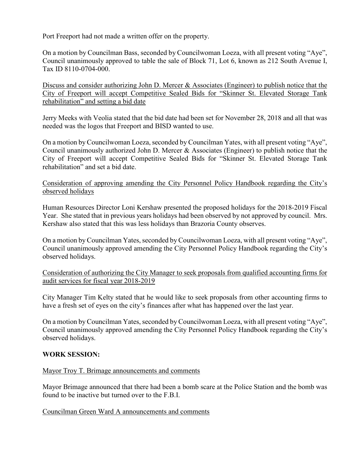Port Freeport had not made a written offer on the property.

On a motion by Councilman Bass, seconded by Councilwoman Loeza, with all present voting "Aye", Council unanimously approved to table the sale of Block 71, Lot 6, known as 212 South Avenue I, Tax ID 8110-0704-000.

Discuss and consider authorizing John D. Mercer & Associates (Engineer) to publish notice that the City of Freeport will accept Competitive Sealed Bids for "Skinner St. Elevated Storage Tank rehabilitation" and setting a bid date

Jerry Meeks with Veolia stated that the bid date had been set for November 28, 2018 and all that was needed was the logos that Freeport and BISD wanted to use.

On a motion by Councilwoman Loeza, seconded by Councilman Yates, with all present voting "Aye", Council unanimously authorized John D. Mercer & Associates (Engineer) to publish notice that the City of Freeport will accept Competitive Sealed Bids for "Skinner St. Elevated Storage Tank rehabilitation" and set a bid date.

Consideration of approving amending the City Personnel Policy Handbook regarding the City's observed holidays

Human Resources Director Loni Kershaw presented the proposed holidays for the 2018-2019 Fiscal Year. She stated that in previous years holidays had been observed by not approved by council. Mrs. Kershaw also stated that this was less holidays than Brazoria County observes.

On a motion by Councilman Yates, seconded by Councilwoman Loeza, with all present voting "Aye", Council unanimously approved amending the City Personnel Policy Handbook regarding the City's observed holidays.

Consideration of authorizing the City Manager to seek proposals from qualified accounting firms for audit services for fiscal year 2018-2019

City Manager Tim Kelty stated that he would like to seek proposals from other accounting firms to have a fresh set of eyes on the city's finances after what has happened over the last year.

On a motion by Councilman Yates, seconded by Councilwoman Loeza, with all present voting "Aye", Council unanimously approved amending the City Personnel Policy Handbook regarding the City's observed holidays.

## **WORK SESSION:**

### Mayor Troy T. Brimage announcements and comments

Mayor Brimage announced that there had been a bomb scare at the Police Station and the bomb was found to be inactive but turned over to the F.B.I.

### Councilman Green Ward A announcements and comments